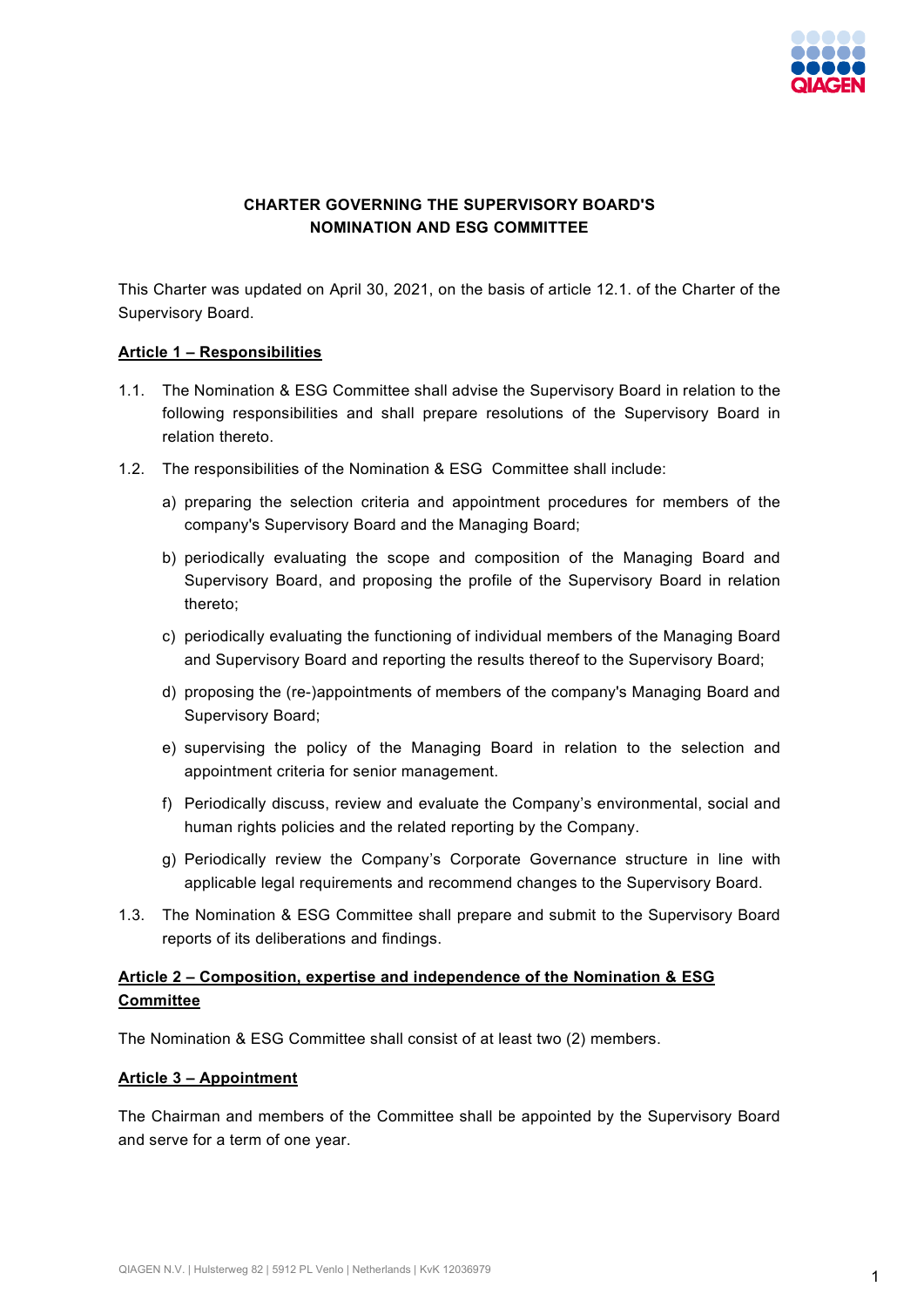

# **CHARTER GOVERNING THE SUPERVISORY BOARD'S NOMINATION AND ESG COMMITTEE**

This Charter was updated on April 30, 2021, on the basis of article 12.1. of the Charter of the Supervisory Board.

### **Article 1 – Responsibilities**

- 1.1. The Nomination & ESG Committee shall advise the Supervisory Board in relation to the following responsibilities and shall prepare resolutions of the Supervisory Board in relation thereto.
- 1.2. The responsibilities of the Nomination & ESG Committee shall include:
	- a) preparing the selection criteria and appointment procedures for members of the company's Supervisory Board and the Managing Board;
	- b) periodically evaluating the scope and composition of the Managing Board and Supervisory Board, and proposing the profile of the Supervisory Board in relation thereto;
	- c) periodically evaluating the functioning of individual members of the Managing Board and Supervisory Board and reporting the results thereof to the Supervisory Board;
	- d) proposing the (re-)appointments of members of the company's Managing Board and Supervisory Board;
	- e) supervising the policy of the Managing Board in relation to the selection and appointment criteria for senior management.
	- f) Periodically discuss, review and evaluate the Company's environmental, social and human rights policies and the related reporting by the Company.
	- g) Periodically review the Company's Corporate Governance structure in line with applicable legal requirements and recommend changes to the Supervisory Board.
- 1.3. The Nomination & ESG Committee shall prepare and submit to the Supervisory Board reports of its deliberations and findings.

# **Article 2 – Composition, expertise and independence of the Nomination & ESG Committee**

The Nomination & ESG Committee shall consist of at least two (2) members.

#### **Article 3 – Appointment**

The Chairman and members of the Committee shall be appointed by the Supervisory Board and serve for a term of one year.